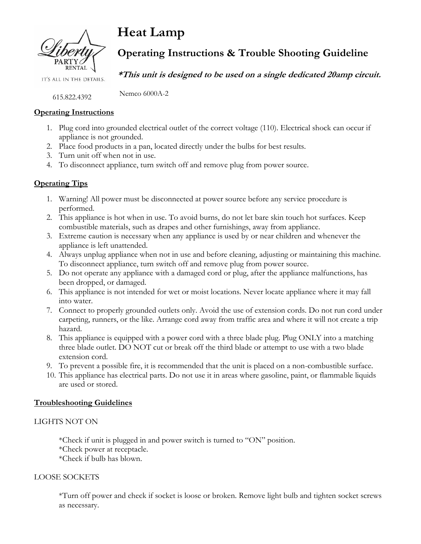

**Heat Lamp**

# **Operating Instructions & Trouble Shooting Guideline**

IT'S ALL IN THE DETAILS.

**\*This unit is designed to be used on a single dedicated 20amp circuit.**

Nemco 6000A-2

#### **Operating Instructions**

615.822.4392

- 1. Plug cord into grounded electrical outlet of the correct voltage (110). Electrical shock can occur if appliance is not grounded.
- 2. Place food products in a pan, located directly under the bulbs for best results.
- 3. Turn unit off when not in use.
- 4. To disconnect appliance, turn switch off and remove plug from power source.

### **Operating Tips**

- 1. Warning! All power must be disconnected at power source before any service procedure is performed.
- 2. This appliance is hot when in use. To avoid burns, do not let bare skin touch hot surfaces. Keep combustible materials, such as drapes and other furnishings, away from appliance.
- 3. Extreme caution is necessary when any appliance is used by or near children and whenever the appliance is left unattended.
- 4. Always unplug appliance when not in use and before cleaning, adjusting or maintaining this machine. To disconnect appliance, turn switch off and remove plug from power source.
- 5. Do not operate any appliance with a damaged cord or plug, after the appliance malfunctions, has been dropped, or damaged.
- 6. This appliance is not intended for wet or moist locations. Never locate appliance where it may fall into water.
- 7. Connect to properly grounded outlets only. Avoid the use of extension cords. Do not run cord under carpeting, runners, or the like. Arrange cord away from traffic area and where it will not create a trip hazard.
- 8. This appliance is equipped with a power cord with a three blade plug. Plug ONLY into a matching three blade outlet. DO NOT cut or break off the third blade or attempt to use with a two blade extension cord.
- 9. To prevent a possible fire, it is recommended that the unit is placed on a non-combustible surface.
- 10. This appliance has electrical parts. Do not use it in areas where gasoline, paint, or flammable liquids are used or stored.

### **Troubleshooting Guidelines**

### LIGHTS NOT ON

\*Check if unit is plugged in and power switch is turned to "ON" position. \*Check power at receptacle. \*Check if bulb has blown.

#### LOOSE SOCKETS

\*Turn off power and check if socket is loose or broken. Remove light bulb and tighten socket screws as necessary.